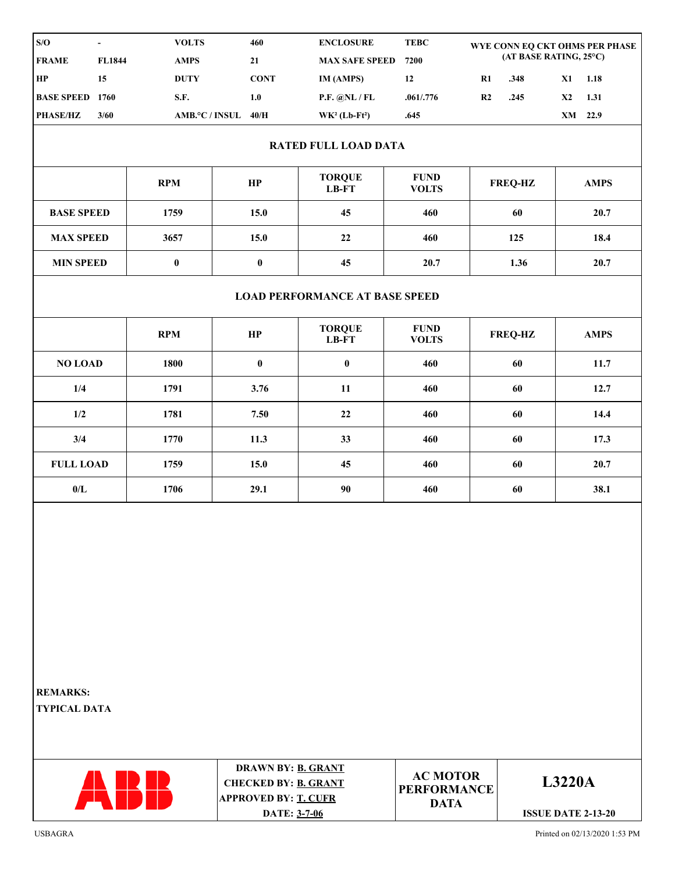| S/O<br>$\blacksquare$                  |                             | <b>VOLTS</b> | 460                                                                              | <b>ENCLOSURE</b>         | <b>TEBC</b>                                          |    | WYE CONN EQ CKT OHMS PER PHASE<br>(AT BASE RATING, 25°C) |         |             |  |  |  |  |  |  |
|----------------------------------------|-----------------------------|--------------|----------------------------------------------------------------------------------|--------------------------|------------------------------------------------------|----|----------------------------------------------------------|---------|-------------|--|--|--|--|--|--|
| <b>FRAME</b>                           | FL1844                      | <b>AMPS</b>  | 21                                                                               | <b>MAX SAFE SPEED</b>    | 7200                                                 |    |                                                          |         |             |  |  |  |  |  |  |
| HP                                     | 15                          | <b>DUTY</b>  | <b>CONT</b>                                                                      | IM (AMPS)                | 12                                                   | R1 | .348                                                     | X1      | 1.18        |  |  |  |  |  |  |
| <b>BASE SPEED 1760</b>                 |                             | S.F.         | 1.0                                                                              | P.F. @NL / FL            | .061/0.776                                           | R2 | .245                                                     | X2      | 1.31        |  |  |  |  |  |  |
| PHASE/HZ                               | 3/60                        |              | AMB.°C / INSUL 40/H                                                              | $WK2 (Lb-Ft2)$           | .645                                                 |    |                                                          | XM 22.9 |             |  |  |  |  |  |  |
|                                        | <b>RATED FULL LOAD DATA</b> |              |                                                                                  |                          |                                                      |    |                                                          |         |             |  |  |  |  |  |  |
|                                        |                             | <b>RPM</b>   | HP                                                                               | <b>TORQUE</b><br>$LB-FT$ | <b>FUND</b><br><b>VOLTS</b>                          |    | <b>FREQ-HZ</b>                                           |         | <b>AMPS</b> |  |  |  |  |  |  |
| <b>BASE SPEED</b>                      |                             | 1759         | 15.0                                                                             | 45                       | 460                                                  |    | 60                                                       |         | 20.7        |  |  |  |  |  |  |
| <b>MAX SPEED</b>                       |                             | 3657         | 15.0                                                                             | 22                       | 460                                                  |    | 125                                                      | 18.4    |             |  |  |  |  |  |  |
| <b>MIN SPEED</b><br>$\pmb{0}$          |                             |              | $\pmb{0}$                                                                        | 45                       | 20.7                                                 |    | 1.36                                                     | 20.7    |             |  |  |  |  |  |  |
| <b>LOAD PERFORMANCE AT BASE SPEED</b>  |                             |              |                                                                                  |                          |                                                      |    |                                                          |         |             |  |  |  |  |  |  |
|                                        |                             | <b>RPM</b>   | HP                                                                               | <b>TORQUE</b><br>$LB-FT$ | <b>FUND</b><br><b>VOLTS</b>                          |    | <b>FREQ-HZ</b>                                           |         | <b>AMPS</b> |  |  |  |  |  |  |
| <b>NO LOAD</b>                         |                             | 1800         | $\pmb{0}$                                                                        | $\mathbf 0$              | 460                                                  |    | 60                                                       |         | 11.7        |  |  |  |  |  |  |
| 1/4                                    |                             | 1791         | 3.76                                                                             | 11                       | 460                                                  |    | 60                                                       | 12.7    |             |  |  |  |  |  |  |
| 1/2                                    |                             | 1781         | 7.50                                                                             | 22                       | 460                                                  |    | 60                                                       |         | 14.4        |  |  |  |  |  |  |
| 3/4                                    |                             | 1770         | 11.3                                                                             | 33                       | 460                                                  |    | 60                                                       |         | 17.3        |  |  |  |  |  |  |
| <b>FULL LOAD</b>                       |                             | 1759         | 15.0                                                                             | 45                       | 460                                                  |    | 60                                                       | 20.7    |             |  |  |  |  |  |  |
| $0/L$                                  |                             | 1706         | 29.1                                                                             | 90                       | 460                                                  |    | 60                                                       | 38.1    |             |  |  |  |  |  |  |
|                                        |                             |              |                                                                                  |                          |                                                      |    |                                                          |         |             |  |  |  |  |  |  |
| <b>REMARKS:</b><br><b>TYPICAL DATA</b> |                             |              |                                                                                  |                          |                                                      |    |                                                          |         |             |  |  |  |  |  |  |
|                                        |                             | ABB          | DRAWN BY: B. GRANT<br><b>CHECKED BY: B. GRANT</b><br><b>APPROVED BY: T. CUFR</b> |                          | <b>AC MOTOR</b><br><b>PERFORMANCE</b><br><b>DATA</b> |    | <b>L3220A</b>                                            |         |             |  |  |  |  |  |  |
|                                        |                             |              | DATE: 3-7-06                                                                     |                          |                                                      |    | <b>ISSUE DATE 2-13-20</b>                                |         |             |  |  |  |  |  |  |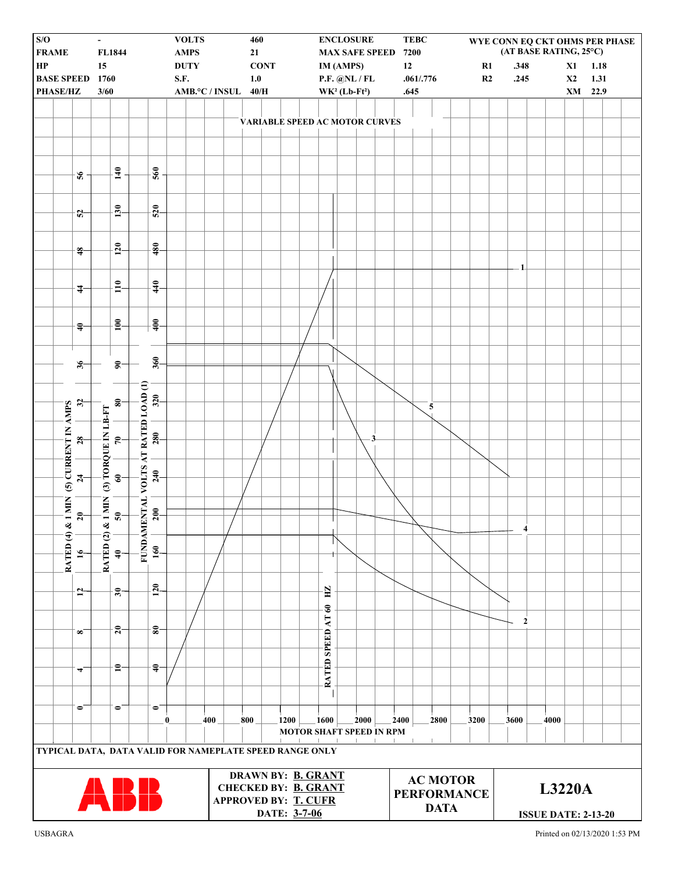